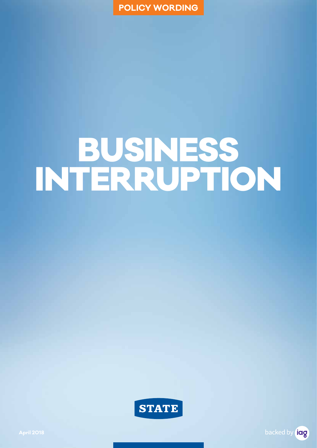**POLICY WORDING**

# BUSINESS INTERRUPTION



backed by **idg**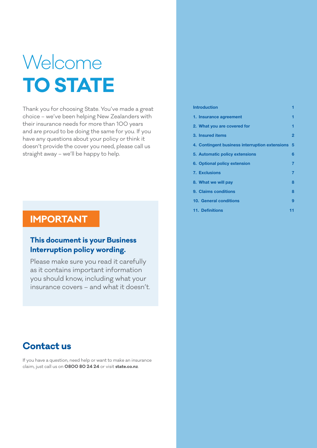## Welcome **TO STATE**

Thank you for choosing State. You've made a great choice – we've been helping New Zealanders with their insurance needs for more than 100 years and are proud to be doing the same for you. If you have any questions about your policy or think it doesn't provide the cover you need, please call us straight away – we'll be happy to help.

### **IMPORTANT**

### **This document is your Business Interruption policy wording.**

Please make sure you read it carefully as it contains important information you should know, including what your insurance covers – and what it doesn't.

### **Contact us**

If you have a question, need help or want to make an insurance claim, just call us on **0800 80 24 24** or visit **state.co.nz**.

| <b>Introduction</b>                            | ٦  |
|------------------------------------------------|----|
| 1. Insurance agreement                         | 1  |
| 2. What you are covered for                    | ۶  |
| 3. Insured items                               | 2  |
| 4. Contingent business interruption extensions | 5  |
| 5. Automatic policy extensions                 | 6  |
| 6. Optional policy extension                   | 7  |
| 7. Exclusions                                  | 7  |
| 8. What we will pay                            | ឧ  |
| 9. Claims conditions                           | ឧ  |
| 10. General conditions                         | g  |
| <b>11. Definitions</b>                         | 11 |
|                                                |    |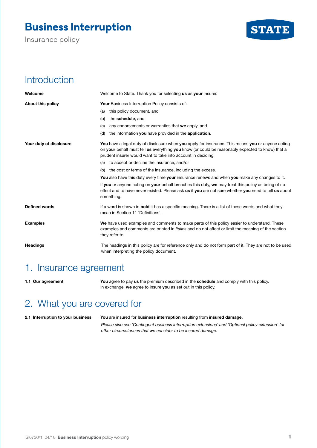### **Business Interruption**

Insurance policy



### **Introduction**

| Welcome                 | Welcome to State. Thank you for selecting us as your insurer.                                                                                                                                                                                                         |
|-------------------------|-----------------------------------------------------------------------------------------------------------------------------------------------------------------------------------------------------------------------------------------------------------------------|
| About this policy       | Your Business Interruption Policy consists of:                                                                                                                                                                                                                        |
|                         | this policy document, and<br>(a)                                                                                                                                                                                                                                      |
|                         | the schedule, and<br>(b)                                                                                                                                                                                                                                              |
|                         | any endorsements or warranties that we apply, and<br>(c)                                                                                                                                                                                                              |
|                         | the information you have provided in the application.<br>(d)                                                                                                                                                                                                          |
| Your duty of disclosure | You have a legal duty of disclosure when you apply for insurance. This means you or anyone acting<br>on your behalf must tell us everything you know (or could be reasonably expected to know) that a<br>prudent insurer would want to take into account in deciding: |
|                         | (a) to accept or decline the insurance, and/or                                                                                                                                                                                                                        |
|                         | (b) the cost or terms of the insurance, including the excess.                                                                                                                                                                                                         |
|                         | You also have this duty every time your insurance renews and when you make any changes to it.                                                                                                                                                                         |
|                         | If you or anyone acting on your behalf breaches this duty, we may treat this policy as being of no<br>effect and to have never existed. Please ask us if you are not sure whether you need to tell us about<br>something.                                             |
| <b>Defined words</b>    | If a word is shown in <b>bold</b> it has a specific meaning. There is a list of these words and what they<br>mean in Section 11 'Definitions'.                                                                                                                        |
| <b>Examples</b>         | We have used examples and comments to make parts of this policy easier to understand. These<br>examples and comments are printed in <i>italics</i> and do not affect or limit the meaning of the section<br>they refer to.                                            |
| <b>Headings</b>         | The headings in this policy are for reference only and do not form part of it. They are not to be used<br>when interpreting the policy document.                                                                                                                      |

### 1. Insurance agreement

**1.1 Our agreement You** agree to pay **us** the premium described in the **schedule** and comply with this policy. In exchange, **we** agree to insure **you** as set out in this policy.

### 2. What you are covered for

**2.1 Interruption to your business You** are insured for **business interruption** resulting from **insured damage**.

*Please also see 'Contingent business interruption extensions' and 'Optional policy extension' for other circumstances that we consider to be insured damage.*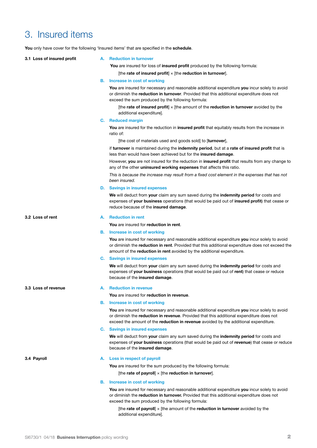### 3. Insured items

You only have cover for the following 'Insured items' that are specified in the schedule

|    | A. Reduction in turnover                                                                                                                                                                                                                                                          |
|----|-----------------------------------------------------------------------------------------------------------------------------------------------------------------------------------------------------------------------------------------------------------------------------------|
|    | You are insured for loss of insured profit produced by the following formula:                                                                                                                                                                                                     |
|    | [the rate of insured profit] $\times$ [the reduction in turnover].                                                                                                                                                                                                                |
|    | <b>B.</b> Increase in cost of working                                                                                                                                                                                                                                             |
|    | You are insured for necessary and reasonable additional expenditure you incur solely to avoid<br>or diminish the reduction in turnover. Provided that this additional expenditure does not<br>exceed the sum produced by the following formula:                                   |
|    | [the rate of insured profit] $\times$ [the amount of the reduction in turnover avoided by the<br>additional expenditure].                                                                                                                                                         |
|    | C. Reduced margin                                                                                                                                                                                                                                                                 |
|    | You are insured for the reduction in insured profit that equitably results from the increase in<br>ratio of:                                                                                                                                                                      |
|    | [the cost of materials used and goods sold] to [turnover],                                                                                                                                                                                                                        |
|    | if turnover is maintained during the indemnity period, but at a rate of insured profit that is<br>less than would have been achieved but for the <b>insured damage</b> .                                                                                                          |
|    | However, you are not insured for the reduction in insured profit that results from any change to<br>any of the other uninsured working expenses that affects this ratio.                                                                                                          |
|    | This is because the increase may result from a fixed cost element in the expenses that has not<br>been insured.                                                                                                                                                                   |
|    | <b>D.</b> Savings in insured expenses                                                                                                                                                                                                                                             |
|    | We will deduct from your claim any sum saved during the indemnity period for costs and<br>expenses of your business operations (that would be paid out of insured profit) that cease or<br>reduce because of the insured damage.                                                  |
| А. | <b>Reduction in rent</b>                                                                                                                                                                                                                                                          |
|    | You are insured for reduction in rent.                                                                                                                                                                                                                                            |
| В. | Increase in cost of working                                                                                                                                                                                                                                                       |
|    | You are insured for necessary and reasonable additional expenditure you incur solely to avoid<br>or diminish the reduction in rent. Provided that this additional expenditure does not exceed the<br>amount of the reduction in rent avoided by the additional expenditure.       |
|    | C. Savings in insured expenses                                                                                                                                                                                                                                                    |
|    | We will deduct from your claim any sum saved during the indemnity period for costs and<br>expenses of your business operations (that would be paid out of rent) that cease or reduce<br>because of the insured damage.                                                            |
|    | <b>Reduction in revenue</b>                                                                                                                                                                                                                                                       |
|    | You are insured for reduction in revenue.                                                                                                                                                                                                                                         |
|    | <b>B.</b> Increase in cost of working                                                                                                                                                                                                                                             |
|    | You are insured for necessary and reasonable additional expenditure you incur solely to avoid<br>or diminish the reduction in revenue. Provided that this additional expenditure does not<br>exceed the amount of the reduction in revenue avoided by the additional expenditure. |
|    | C. Savings in insured expenses                                                                                                                                                                                                                                                    |
|    | We will deduct from your claim any sum saved during the indemnity period for costs and<br>expenses of your business operations (that would be paid out of revenue) that cease or reduce<br>because of the insured damage.                                                         |
|    | A. Loss in respect of payroll                                                                                                                                                                                                                                                     |
|    | You are insured for the sum produced by the following formula:                                                                                                                                                                                                                    |
|    | [the rate of payroll] $\times$ [the reduction in turnover].                                                                                                                                                                                                                       |
| В. | Increase in cost of working                                                                                                                                                                                                                                                       |
|    | You are insured for necessary and reasonable additional expenditure you incur solely to avoid<br>or diminish the reduction in turnover. Provided that this additional expenditure does not<br>exceed the sum produced by the following formula:                                   |
|    | [the rate of payroll] $\times$ [the amount of the reduction in turnover avoided by the                                                                                                                                                                                            |
|    |                                                                                                                                                                                                                                                                                   |

additional expenditure].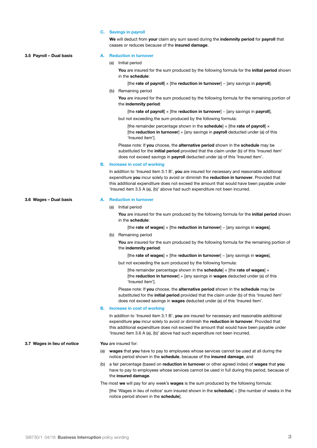| <b>Savings in payroll</b><br>C. |  |
|---------------------------------|--|
|---------------------------------|--|

**We** will deduct from **your** claim any sum saved during the **indemnity period** for **payroll** that ceases or reduces because of the **insured damage**.

**3.5 Payroll – Dual basis A. Reduction in turnover** (a) Initial period **You** are insured for the sum produced by the following formula for the **initial period** shown in the **schedule**: [the **rate of payroll**] × [the **reduction in turnover**] − [any savings in **payroll**]. (b) Remaining period **You** are insured for the sum produced by the following formula for the remaining portion of the **indemnity period**: [the **rate of payroll**] × [the reduction in turnover] – [any savings in payroll], but not exceeding the sum produced by the following formula: [the remainder percentage shown in the **schedule**]  $\times$  [the **rate of payroll**]  $\times$ [the **reduction in turnover**] + [any savings in **payroll** deducted under (a) of this 'Insured item']. Please note: If **you** choose, the **alternative period** shown in the **schedule** may be substituted for the **initial period** provided that the claim under (b) of this 'Insured item' does not exceed savings in **payroll** deducted under (a) of this 'Insured item'. **B. Increase in cost of working** In addition to 'Insured item 3.1 B', **you** are insured for necessary and reasonable additional expenditure **you** incur solely to avoid or diminish the **reduction in turnover**. Provided that this additional expenditure does not exceed the amount that would have been payable under 'Insured item 3.5 A (a), (b)' above had such expenditure not been incurred. **3.6 Wages – Dual basis A. Reduction in turnover** (a) Initial period **You** are insured for the sum produced by the following formula for the **initial period** shown in the **schedule**: [the **rate of wages**] × [the **reduction in turnover**] − [any savings in **wages**]. (b) Remaining period **You** are insured for the sum produced by the following formula for the remaining portion of the **indemnity period**: [the **rate of wages**] × [the r**eduction in turnover**] − [any savings in **wages**], but not exceeding the sum produced by the following formula: [the remainder percentage shown in the **schedule**] × [the **rate of wages**] × [the **reduction in turnover**] + [any savings in **wages** deducted under (a) of this 'Insured item']. Please note: If **you** choose, the **alternative period** shown in the **schedule** may be substituted for the **initial period** provided that the claim under (b) of this 'Insured item' does not exceed savings in **wages** deducted under (a) of this 'Insured item'. **B. Increase in cost of working** In addition to 'Insured item 3.1 B', **you** are insured for necessary and reasonable additional expenditure **you** incur solely to avoid or diminish the **reduction in turnover**. Provided that this additional expenditure does not exceed the amount that would have been payable under 'Insured item 3.6 A (a), (b)' above had such expenditure not been incurred. **3.7 Wages in lieu of notice You** are insured for: (a) **wages** that **you** have to pay to employees whose services cannot be used at all during the notice period shown in the **schedule**, because of the **insured damage**, and (b) a fair percentage (based on **reduction in turnover** or other agreed index) of **wages** that **you**  have to pay to employees whose services cannot be used in full during this period, because of the **insured damage**. The most **we** will pay for any week's **wages** is the sum produced by the following formula: [the 'Wages in lieu of notice' sum insured shown in the **schedule**] ÷ [the number of weeks in the notice period shown in the **schedule**].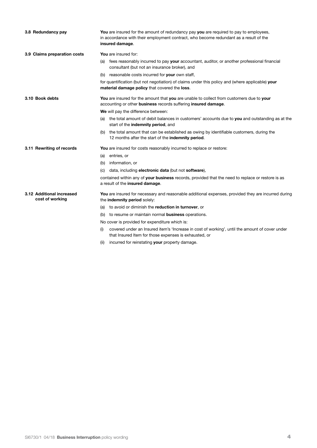| 3.8 Redundancy pay                           | You are insured for the amount of redundancy pay you are required to pay to employees,<br>in accordance with their employment contract, who become redundant as a result of the<br>insured damage. |
|----------------------------------------------|----------------------------------------------------------------------------------------------------------------------------------------------------------------------------------------------------|
| 3.9 Claims preparation costs                 | You are insured for:                                                                                                                                                                               |
|                                              | fees reasonably incurred to pay your accountant, auditor, or another professional financial<br>(a)<br>consultant (but not an insurance broker), and                                                |
|                                              | (b) reasonable costs incurred for your own staff,                                                                                                                                                  |
|                                              | for quantification (but not negotiation) of claims under this policy and (where applicable) your<br>material damage policy that covered the loss.                                                  |
| 3.10 Book debts                              | You are insured for the amount that you are unable to collect from customers due to your<br>accounting or other business records suffering insured damage.                                         |
|                                              | We will pay the difference between:                                                                                                                                                                |
|                                              | the total amount of debit balances in customers' accounts due to you and outstanding as at the<br>(a)<br>start of the indemnity period, and                                                        |
|                                              | the total amount that can be established as owing by identifiable customers, during the<br>(b)<br>12 months after the start of the indemnity period.                                               |
| 3.11 Rewriting of records                    | You are insured for costs reasonably incurred to replace or restore:                                                                                                                               |
|                                              | entries, or<br>(a)                                                                                                                                                                                 |
|                                              | (b) information, or                                                                                                                                                                                |
|                                              | data, including electronic data (but not software),<br>(C)                                                                                                                                         |
|                                              | contained within any of your business records, provided that the need to replace or restore is as<br>a result of the insured damage.                                                               |
| 3.12 Additional increased<br>cost of working | You are insured for necessary and reasonable additional expenses, provided they are incurred during<br>the indemnity period solely:                                                                |
|                                              | (a) to avoid or diminish the reduction in turnover, or                                                                                                                                             |
|                                              | (b) to resume or maintain normal <b>business</b> operations.                                                                                                                                       |
|                                              | No cover is provided for expenditure which is:                                                                                                                                                     |
|                                              | covered under an Insured item's 'Increase in cost of working', until the amount of cover under<br>(i)<br>that Insured Item for those expenses is exhausted, or                                     |

(ii) incurred for reinstating **your** property damage.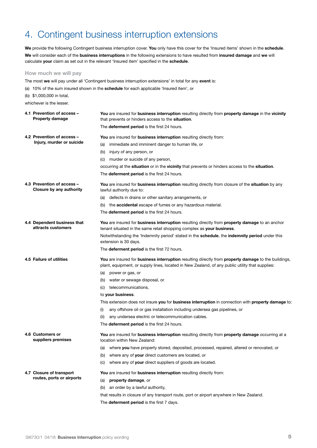### 4. Contingent business interruption extensions

**We** provide the following Contingent business interruption cover. **You** only have this cover for the 'Insured items' shown in the **schedule**. **We** will consider each of the **business interruptions** in the following extensions to have resulted from **insured damage** and **we** will calculate **your** claim as set out in the relevant 'Insured item' specified in the **schedule**.

#### **How much we will pay**

- The most **we** will pay under all 'Contingent business interruption extensions' in total for any **event** is:
- (a) 10% of the sum insured shown in the **schedule** for each applicable 'Insured item', or
- (b) \$1,000,000 in total,

whichever is the lesser.

| 4.1 Prevention of access -<br><b>Property damage</b>   | You are insured for business interruption resulting directly from property damage in the vicinity<br>that prevents or hinders access to the situation.                                                 |
|--------------------------------------------------------|--------------------------------------------------------------------------------------------------------------------------------------------------------------------------------------------------------|
|                                                        | The deferment period is the first 24 hours.                                                                                                                                                            |
| 4.2 Prevention of access -                             | You are insured for business interruption resulting directly from:                                                                                                                                     |
| Injury, murder or suicide                              | immediate and imminent danger to human life, or<br>(a)                                                                                                                                                 |
|                                                        | injury of any person, or<br>(b)                                                                                                                                                                        |
|                                                        | (c) murder or suicide of any person,                                                                                                                                                                   |
|                                                        | occurring at the situation or in the vicinity that prevents or hinders access to the situation.                                                                                                        |
|                                                        | The deferment period is the first 24 hours.                                                                                                                                                            |
| 4.3 Prevention of access -<br>Closure by any authority | You are insured for business interruption resulting directly from closure of the situation by any<br>lawful authority due to:                                                                          |
|                                                        | (a) defects in drains or other sanitary arrangements, or                                                                                                                                               |
|                                                        | (b) the <b>accidental</b> escape of fumes or any hazardous material.                                                                                                                                   |
|                                                        | The <b>deferment period</b> is the first 24 hours.                                                                                                                                                     |
| 4.4 Dependent business that<br>attracts customers      | You are insured for business interruption resulting directly from property damage to an anchor<br>tenant situated in the same retail shopping complex as your business.                                |
|                                                        | Notwithstanding the 'Indemnity period' stated in the schedule, the indemnity period under this<br>extension is 30 days.                                                                                |
|                                                        | The deferment period is the first 72 hours.                                                                                                                                                            |
| 4.5 Failure of utilities                               | You are insured for business interruption resulting directly from property damage to the buildings,<br>plant, equipment, or supply lines, located in New Zealand, of any public utility that supplies: |
|                                                        | (a) power or gas, or                                                                                                                                                                                   |
|                                                        | (b) water or sewage disposal, or                                                                                                                                                                       |
|                                                        | (c) telecommunications,                                                                                                                                                                                |
|                                                        | to your business.                                                                                                                                                                                      |
|                                                        | This extension does not insure you for business interruption in connection with property damage to                                                                                                     |
|                                                        | any offshore oil or gas installation including undersea gas pipelines, or<br>(i)                                                                                                                       |
|                                                        | any undersea electric or telecommunication cables.<br>(ii)                                                                                                                                             |
|                                                        | The deferment period is the first 24 hours.                                                                                                                                                            |
| 4.6 Customers or<br>suppliers premises                 | You are insured for business interruption resulting directly from property damage occurring at a<br>location within New Zealand:                                                                       |
|                                                        | (a) where you have property stored, deposited, processed, repaired, altered or renovated, or                                                                                                           |
|                                                        | where any of your direct customers are located, or<br>(D)                                                                                                                                              |
|                                                        | where any of your direct suppliers of goods are located.<br>(C)                                                                                                                                        |
| 4.7 Closure of transport                               | You are insured for business interruption resulting directly from:                                                                                                                                     |
| routes, ports or airports                              | property damage, or<br>(a)                                                                                                                                                                             |
|                                                        | an order by a lawful authority,<br>(b)                                                                                                                                                                 |
|                                                        | that results in closure of any transport route, port or airport anywhere in New Zealand.                                                                                                               |
|                                                        | The deferment period is the first 7 days.                                                                                                                                                              |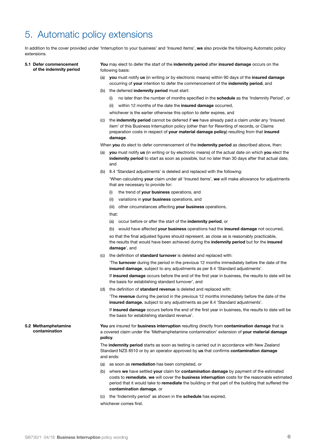### 5. Automatic policy extensions

In addition to the cover provided under 'Interruption to your business' and 'Insured items', **we** also provide the following Automatic policy extensions.

**5.1 Defer commencement of the indemnity period** **You** may elect to defer the start of the **indemnity period** after **insured damage** occurs on the following basis:

- (a) **you** must notify **us** (in writing or by electronic means) within 90 days of the **insured damage**  occurring of **your** intention to defer the commencement of the **indemnity period**, and
- (b) the deferred **indemnity period** must start:
	- (i) no later than the number of months specified in the **schedule** as the 'Indemnity Period', or
	- (ii) within 12 months of the date the **insured damage** occurred,
	- whichever is the earlier otherwise this option to defer expires, and
- (c) the **indemnity period** cannot be deferred if **we** have already paid a claim under any 'Insured item' of this Business Interruption policy (other than for Rewriting of records, or Claims preparation costs in respect of **your material damage policy**) resulting from that **insured damage**.

When **you** do elect to defer commencement of the **indemnity period** as described above, then:

- (a) **you** must notify **us** (in writing or by electronic means) of the actual date on which **you** elect the **indemnity period** to start as soon as possible, but no later than 30 days after that actual date, and
- (b) 8.4 'Standard adjustments' is deleted and replaced with the following:

'When calculating **your** claim under all 'Insured items', **we** will make allowance for adjustments that are necessary to provide for:

- (i) the trend of **your business** operations, and
- (ii) variations in **your business** operations, and

(iii) other circumstances affecting **your business** operations,

that:

(a) occur before or after the start of the **indemnity period**, or

(b) would have affected **your business** operations had the **insured damage** not occurred,

so that the final adjusted figures should represent, as close as is reasonably practicable, the results that would have been achieved during the **indemnity period** but for the **insured damage**', and

(c) the definition of **standard turnover** is deleted and replaced with:

'The **turnover** during the period in the previous 12 months immediately before the date of the **insured damage**, subject to any adjustments as per 8.4 'Standard adjustments'.

If **insured damage** occurs before the end of the first year in business, the results to date will be the basis for establishing standard turnover', and

(d) the definition of **standard revenue** is deleted and replaced with:

'The **revenue** during the period in the previous 12 months immediately before the date of the **insured damage**, subject to any adjustments as per 8.4 'Standard adjustments'.

If **insured damage** occurs before the end of the first year in business, the results to date will be the basis for establishing standard revenue'.

**You** are insured for **business interruption** resulting directly from **contamination damage** that is a covered claim under the 'Methamphetamine contamination' extension of **your material damage policy**.

The **indemnity period** starts as soon as testing is carried out in accordance with New Zealand Standard NZS 8510 or by an operator approved by **us** that confirms **contamination damage** and ends:

- (a) as soon as **remediation** has been completed, or
- (b) where **we** have settled **your** claim for **contamination damage** by payment of the estimated costs to **remediate**, **we** will cover the **business interruption** costs for the reasonable estimated period that it would take to **remediate** the building or that part of the building that suffered the **contamination damage**, or
- (c) the 'Indemnity period' as shown in the **schedule** has expired,

whichever comes first.

**5.2 Methamphetamine contamination**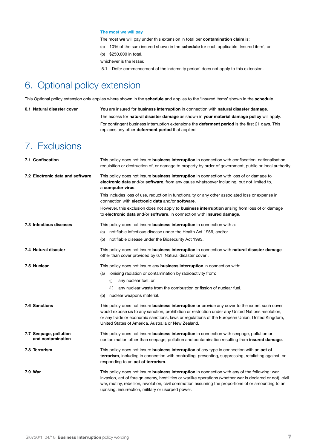#### **The most we will pay**

The most **we** will pay under this extension in total per **contamination claim** is:

- (a) 10% of the sum insured shown in the **schedule** for each applicable 'Insured item', or
- (b) \$250,000 in total,

whichever is the lesser.

'5.1 – Defer commencement of the indemnity period' does not apply to this extension.

### 6. Optional policy extension

This Optional policy extension only applies where shown in the **schedule** and applies to the 'Insured items' shown in the **schedule**.

**6.1 Natural disaster cover You** are insured for **business interruption** in connection with **natural disaster damage**. The excess for **natural disaster damage** as shown in **your material damage policy** will apply. For contingent business interruption extensions the **deferment period** is the first 21 days. This replaces any other **deferment period** that applied.

### 7. Exclusions

| 7.1 Confiscation                            | This policy does not insure <b>business interruption</b> in connection with confiscation, nationalisation,<br>requisition or destruction of, or damage to property by order of government, public or local authority.                                                                                                                                                    |
|---------------------------------------------|--------------------------------------------------------------------------------------------------------------------------------------------------------------------------------------------------------------------------------------------------------------------------------------------------------------------------------------------------------------------------|
| 7.2 Electronic data and software            | This policy does not insure business interruption in connection with loss of or damage to<br>electronic data and/or software, from any cause whatsoever including, but not limited to,<br>a computer virus.                                                                                                                                                              |
|                                             | This includes loss of use, reduction in functionality or any other associated loss or expense in<br>connection with electronic data and/or software.                                                                                                                                                                                                                     |
|                                             | However, this exclusion does not apply to <b>business interruption</b> arising from loss of or damage<br>to electronic data and/or software, in connection with insured damage.                                                                                                                                                                                          |
| 7.3 Infectious diseases                     | This policy does not insure business interruption in connection with a:                                                                                                                                                                                                                                                                                                  |
|                                             | notifiable infectious disease under the Health Act 1956, and/or<br>(a)                                                                                                                                                                                                                                                                                                   |
|                                             | notifiable disease under the Biosecurity Act 1993.<br>(b)                                                                                                                                                                                                                                                                                                                |
| 7.4 Natural disaster                        | This policy does not insure business interruption in connection with natural disaster damage<br>other than cover provided by 6.1 'Natural disaster cover'.                                                                                                                                                                                                               |
| 7.5 Nuclear                                 | This policy does not insure any <b>business interruption</b> in connection with:                                                                                                                                                                                                                                                                                         |
|                                             | ionising radiation or contamination by radioactivity from:<br>(a)                                                                                                                                                                                                                                                                                                        |
|                                             | any nuclear fuel, or<br>(i)                                                                                                                                                                                                                                                                                                                                              |
|                                             | any nuclear waste from the combustion or fission of nuclear fuel.<br>(ii)                                                                                                                                                                                                                                                                                                |
|                                             | nuclear weapons material.<br>(b)                                                                                                                                                                                                                                                                                                                                         |
| <b>7.6 Sanctions</b>                        | This policy does not insure business interruption or provide any cover to the extent such cover<br>would expose us to any sanction, prohibition or restriction under any United Nations resolution,<br>or any trade or economic sanctions, laws or regulations of the European Union, United Kingdom,<br>United States of America, Australia or New Zealand.             |
| 7.7 Seepage, pollution<br>and contamination | This policy does not insure business interruption in connection with seepage, pollution or<br>contamination other than seepage, pollution and contamination resulting from insured damage.                                                                                                                                                                               |
| 7.8 Terrorism                               | This policy does not insure <b>business interruption</b> of any type in connection with an <b>act of</b><br>terrorism, including in connection with controlling, preventing, suppressing, retaliating against, or<br>responding to an act of terrorism.                                                                                                                  |
| 7.9 War                                     | This policy does not insure business interruption in connection with any of the following: war,<br>invasion, act of foreign enemy, hostilities or warlike operations (whether war is declared or not), civil<br>war, mutiny, rebellion, revolution, civil commotion assuming the proportions of or amounting to an<br>uprising, insurrection, military or usurped power. |
|                                             |                                                                                                                                                                                                                                                                                                                                                                          |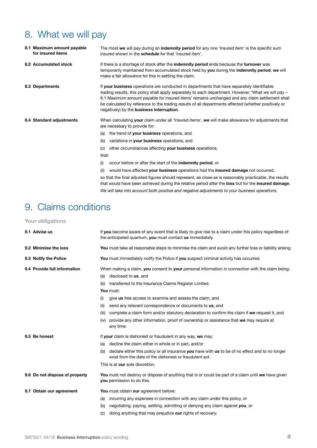### 8. What we will pay

|  | 8.1 Maximum amount payable<br>for insured items | The most we will pay during an indemnity period for any one 'Insured item' is the specific sum<br>insured shown in the <b>schedule</b> for that 'Insured item'.                                                                                                                                                                                                                                                                                                   |
|--|-------------------------------------------------|-------------------------------------------------------------------------------------------------------------------------------------------------------------------------------------------------------------------------------------------------------------------------------------------------------------------------------------------------------------------------------------------------------------------------------------------------------------------|
|  | 8.2 Accumulated stock                           | If there is a shortage of stock after the <b>indemnity period</b> ends because the <b>turnover</b> was<br>temporarily maintained from accumulated stock held by you during the indemnity period, we will<br>make a fair allowance for this in settling the claim.                                                                                                                                                                                                 |
|  | 8.3 Departments                                 | If your business operations are conducted in departments that have separately identifiable<br>trading results, this policy shall apply separately to each department. However, 'What we will pay –<br>8.1 Maximum amount payable for insured items' remains unchanged and any claim settlement shall<br>be calculated by reference to the trading results of all departments affected (whether positively or<br>negatively) by the <b>business interruption</b> . |
|  | 8.4 Standard adjustments                        | When calculating your claim under all 'Insured items', we will make allowance for adjustments that<br>are necessary to provide for:                                                                                                                                                                                                                                                                                                                               |
|  |                                                 | the trend of your business operations, and<br>(a)                                                                                                                                                                                                                                                                                                                                                                                                                 |
|  |                                                 | variations in your business operations, and<br>(b)                                                                                                                                                                                                                                                                                                                                                                                                                |
|  |                                                 | other circumstances affecting your business operations,<br>(C)                                                                                                                                                                                                                                                                                                                                                                                                    |
|  |                                                 | that:                                                                                                                                                                                                                                                                                                                                                                                                                                                             |
|  |                                                 | occur before or after the start of the <b>indemnity period</b> , or<br>(i)                                                                                                                                                                                                                                                                                                                                                                                        |
|  |                                                 | would have affected your business operations had the insured damage not occurred,<br>(ii)                                                                                                                                                                                                                                                                                                                                                                         |
|  |                                                 | so that the final adjusted figures should represent, as close as is reasonably practicable, the results<br>that would have been achieved during the relative period after the loss but for the insured damage.                                                                                                                                                                                                                                                    |

*We will take into account both positive and negative adjustments to your business operations.*

### 9. Claims conditions

**Your obligations**

| 9.1 Advise us                  | If you become aware of any event that is likely to give rise to a claim under this policy regardless of<br>the anticipated quantum, you must contact us immediately.                                                                                                                                                                                                                                                                                                                                                                                                          |
|--------------------------------|-------------------------------------------------------------------------------------------------------------------------------------------------------------------------------------------------------------------------------------------------------------------------------------------------------------------------------------------------------------------------------------------------------------------------------------------------------------------------------------------------------------------------------------------------------------------------------|
| 9.2 Minimise the loss          | You must take all reasonable steps to minimise the claim and avoid any further loss or liability arising                                                                                                                                                                                                                                                                                                                                                                                                                                                                      |
| 9.3 Notify the Police          | You must immediately notify the Police if you suspect criminal activity has occurred.                                                                                                                                                                                                                                                                                                                                                                                                                                                                                         |
| 9.4 Provide full information   | When making a claim, you consent to your personal information in connection with the claim being:<br>disclosed to us, and<br>(a)<br>transferred to the Insurance Claims Register Limited.<br>(b)<br>You must:<br>give us free access to examine and assess the claim, and<br>(i)<br>send any relevant correspondence or documents to us, and<br>(ii)<br>complete a claim form and/or statutory declaration to confirm the claim if we request it, and<br>(iii)<br>provide any other information, proof of ownership or assistance that we may require at<br>(iv)<br>any time. |
| 9.5 Be honest                  | If your claim is dishonest or fraudulent in any way, we may:<br>decline the claim either in whole or in part, and/or<br>(a)<br>declare either this policy or all insurance you have with us to be of no effect and to no longer<br>(b)<br>exist from the date of the dishonest or fraudulent act.<br>This is at our sole discretion.                                                                                                                                                                                                                                          |
| 9.6 Do not dispose of property | You must not destroy or dispose of anything that is or could be part of a claim until we have given<br>you permission to do this.                                                                                                                                                                                                                                                                                                                                                                                                                                             |
| 9.7 Obtain our agreement       | You must obtain our agreement before:<br>incurring any expenses in connection with any claim under this policy, or<br>(a)<br>negotiating, paying, settling, admitting or denying any claim against you, or<br>(b)<br>doing anything that may prejudice our rights of recovery.<br>(C)                                                                                                                                                                                                                                                                                         |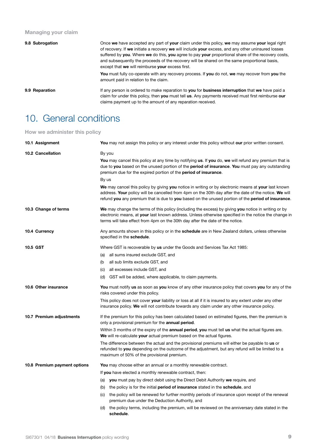#### **Managing your claim**

| 9.8 Subrogation | Once we have accepted any part of your claim under this policy, we may assume your legal right<br>of recovery. If we initiate a recovery we will include your excess, and any other uninsured losses<br>suffered by you. Where we do this, you agree to pay your proportional share of the recovery costs,<br>and subsequently the proceeds of the recovery will be shared on the same proportional basis,<br>except that we will reimburse your excess first. |
|-----------------|----------------------------------------------------------------------------------------------------------------------------------------------------------------------------------------------------------------------------------------------------------------------------------------------------------------------------------------------------------------------------------------------------------------------------------------------------------------|
|                 | <b>You</b> must fully co-operate with any recovery process. If you do not, we may recover from you the<br>amount paid in relation to the claim.                                                                                                                                                                                                                                                                                                                |
| 9.9 Reparation  | If any person is ordered to make reparation to you for business interruption that we have paid a<br>claim for under this policy, then you must tell us. Any payments received must first reimburse our<br>claims payment up to the amount of any reparation received.                                                                                                                                                                                          |

### 10. General conditions

**How we administer this policy**

| 10.1 Assignment              | You may not assign this policy or any interest under this policy without our prior written consent.                                                                                                                                                                                                               |
|------------------------------|-------------------------------------------------------------------------------------------------------------------------------------------------------------------------------------------------------------------------------------------------------------------------------------------------------------------|
| 10.2 Cancellation            | By you<br>You may cancel this policy at any time by notifying us. If you do, we will refund any premium that is<br>due to you based on the unused portion of the period of insurance. You must pay any outstanding                                                                                                |
|                              | premium due for the expired portion of the <b>period of insurance</b> .                                                                                                                                                                                                                                           |
|                              | By us                                                                                                                                                                                                                                                                                                             |
|                              | We may cancel this policy by giving you notice in writing or by electronic means at your last known<br>address. Your policy will be cancelled from 4pm on the 30th day after the date of the notice. We will<br>refund you any premium that is due to you based on the unused portion of the period of insurance. |
| 10.3 Change of terms         | We may change the terms of this policy (including the excess) by giving you notice in writing or by<br>electronic means, at your last known address. Unless otherwise specified in the notice the change in<br>terms will take effect from 4pm on the 30th day after the date of the notice.                      |
| 10.4 Currency                | Any amounts shown in this policy or in the schedule are in New Zealand dollars, unless otherwise<br>specified in the schedule.                                                                                                                                                                                    |
| <b>10.5 GST</b>              | Where GST is recoverable by us under the Goods and Services Tax Act 1985:                                                                                                                                                                                                                                         |
|                              | (a) all sums insured exclude GST, and                                                                                                                                                                                                                                                                             |
|                              | all sub limits exclude GST, and<br>(b                                                                                                                                                                                                                                                                             |
|                              | (c) all excesses include GST, and                                                                                                                                                                                                                                                                                 |
|                              | (d) GST will be added, where applicable, to claim payments.                                                                                                                                                                                                                                                       |
| 10.6 Other insurance         | You must notify us as soon as you know of any other insurance policy that covers you for any of the<br>risks covered under this policy.                                                                                                                                                                           |
|                              | This policy does not cover your liability or loss at all if it is insured to any extent under any other<br>insurance policy. We will not contribute towards any claim under any other insurance policy.                                                                                                           |
| 10.7 Premium adjustments     | If the premium for this policy has been calculated based on estimated figures, then the premium is<br>only a provisional premium for the annual period.                                                                                                                                                           |
|                              | Within 3 months of the expiry of the <b>annual period, you</b> must tell us what the actual figures are.<br>We will re-calculate your actual premium based on the actual figures.                                                                                                                                 |
|                              | The difference between the actual and the provisional premiums will either be payable to us or<br>refunded to you depending on the outcome of the adjustment, but any refund will be limited to a<br>maximum of 50% of the provisional premium.                                                                   |
| 10.8 Premium payment options | <b>You</b> may choose either an annual or a monthly renewable contract.                                                                                                                                                                                                                                           |
|                              | If you have elected a monthly renewable contract, then:                                                                                                                                                                                                                                                           |
|                              | (a) you must pay by direct debit using the Direct Debit Authority we require, and                                                                                                                                                                                                                                 |
|                              | (b) the policy is for the initial <b>period of insurance</b> stated in the <b>schedule</b> , and                                                                                                                                                                                                                  |
|                              | (c) the policy will be renewed for further monthly periods of insurance upon receipt of the renewal<br>premium due under the Deduction Authority, and                                                                                                                                                             |
|                              | the policy terms, including the premium, will be reviewed on the anniversary date stated in the<br>(d)<br>schedule.                                                                                                                                                                                               |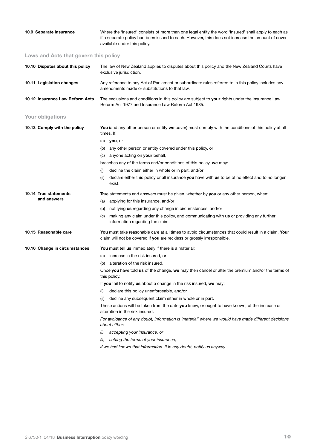| 10.9 Separate insurance               | Where the 'Insured' consists of more than one legal entity the word 'Insured' shall apply to each as<br>if a separate policy had been issued to each. However, this does not increase the amount of cover<br>available under this policy. |
|---------------------------------------|-------------------------------------------------------------------------------------------------------------------------------------------------------------------------------------------------------------------------------------------|
| Laws and Acts that govern this policy |                                                                                                                                                                                                                                           |
| 10.10 Disputes about this policy      | The law of New Zealand applies to disputes about this policy and the New Zealand Courts have<br>exclusive jurisdiction.                                                                                                                   |
| 10.11 Legislation changes             | Any reference to any Act of Parliament or subordinate rules referred to in this policy includes any<br>amendments made or substitutions to that law.                                                                                      |
| 10.12 Insurance Law Reform Acts       | The exclusions and conditions in this policy are subject to your rights under the Insurance Law<br>Reform Act 1977 and Insurance Law Reform Act 1985.                                                                                     |
| Your obligations                      |                                                                                                                                                                                                                                           |
| 10.13 Comply with the policy          | You (and any other person or entity we cover) must comply with the conditions of this policy at all<br>times. If:                                                                                                                         |
|                                       | (a) <b>you</b> , or                                                                                                                                                                                                                       |
|                                       | (b) any other person or entity covered under this policy, or                                                                                                                                                                              |
|                                       | (c) anyone acting on <b>your</b> behalf,                                                                                                                                                                                                  |
|                                       | breaches any of the terms and/or conditions of this policy, we may:                                                                                                                                                                       |
|                                       | decline the claim either in whole or in part, and/or<br>(i)                                                                                                                                                                               |
|                                       | declare either this policy or all insurance you have with us to be of no effect and to no longer<br>(ii)<br>exist.                                                                                                                        |
| 10.14 True statements                 | True statements and answers must be given, whether by you or any other person, when:                                                                                                                                                      |
| and answers                           | applying for this insurance, and/or<br>(a)                                                                                                                                                                                                |
|                                       | notifying us regarding any change in circumstances, and/or<br>(b)                                                                                                                                                                         |
|                                       | making any claim under this policy, and communicating with us or providing any further<br>(C)<br>information regarding the claim.                                                                                                         |
| 10.15 Reasonable care                 | You must take reasonable care at all times to avoid circumstances that could result in a claim. Your<br>claim will not be covered if you are reckless or grossly irresponsible.                                                           |
| 10.16 Change in circumstances         | You must tell us immediately if there is a material:                                                                                                                                                                                      |
|                                       | (a) increase in the risk insured, or                                                                                                                                                                                                      |
|                                       | (b) alteration of the risk insured.                                                                                                                                                                                                       |
|                                       | Once you have told us of the change, we may then cancel or alter the premium and/or the terms of<br>this policy.                                                                                                                          |
|                                       | If you fail to notify us about a change in the risk insured, we may:                                                                                                                                                                      |
|                                       | declare this policy unenforceable, and/or<br>(i)                                                                                                                                                                                          |
|                                       | decline any subsequent claim either in whole or in part.<br>(ii)                                                                                                                                                                          |
|                                       | These actions will be taken from the date you knew, or ought to have known, of the increase or<br>alteration in the risk insured.                                                                                                         |
|                                       | For avoidance of any doubt, information is 'material' where we would have made different decisions<br>about either:                                                                                                                       |
|                                       | accepting your insurance, or<br>(i)                                                                                                                                                                                                       |
|                                       | setting the terms of your insurance,<br>(ii)                                                                                                                                                                                              |
|                                       | if we had known that information. If in any doubt, notify us anyway.                                                                                                                                                                      |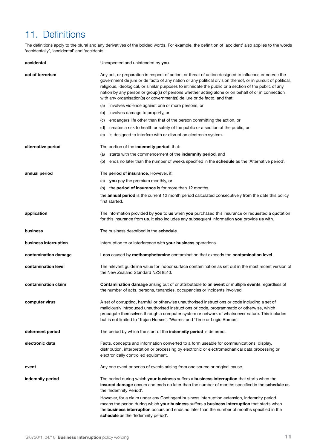### 11. Definitions

The definitions apply to the plural and any derivatives of the bolded words. For example, the definition of 'accident' also applies to the words 'accidentally', 'accidental' and 'accidents'.

| accidental            | Unexpected and unintended by you.                                                                                                                                                                                                                                                                                                                                                                                                                                                                               |
|-----------------------|-----------------------------------------------------------------------------------------------------------------------------------------------------------------------------------------------------------------------------------------------------------------------------------------------------------------------------------------------------------------------------------------------------------------------------------------------------------------------------------------------------------------|
| act of terrorism      | Any act, or preparation in respect of action, or threat of action designed to influence or coerce the<br>government de jure or de facto of any nation or any political division thereof, or in pursuit of political,<br>religious, ideological, or similar purposes to intimidate the public or a section of the public of any<br>nation by any person or group(s) of persons whether acting alone or on behalf of or in connection<br>with any organisation(s) or government(s) de jure or de facto, and that: |
|                       | (a) involves violence against one or more persons, or                                                                                                                                                                                                                                                                                                                                                                                                                                                           |
|                       | (b) involves damage to property, or                                                                                                                                                                                                                                                                                                                                                                                                                                                                             |
|                       | endangers life other than that of the person committing the action, or<br>(C)                                                                                                                                                                                                                                                                                                                                                                                                                                   |
|                       | creates a risk to health or safety of the public or a section of the public, or<br>(d)                                                                                                                                                                                                                                                                                                                                                                                                                          |
|                       | is designed to interfere with or disrupt an electronic system.<br>(e)                                                                                                                                                                                                                                                                                                                                                                                                                                           |
| alternative period    | The portion of the indemnity period, that:                                                                                                                                                                                                                                                                                                                                                                                                                                                                      |
|                       | starts with the commencement of the <b>indemnity period</b> , and<br>(a)                                                                                                                                                                                                                                                                                                                                                                                                                                        |
|                       | ends no later than the number of weeks specified in the <b>schedule</b> as the 'Alternative period'.<br>(b)                                                                                                                                                                                                                                                                                                                                                                                                     |
| annual period         | The period of insurance. However, if:                                                                                                                                                                                                                                                                                                                                                                                                                                                                           |
|                       | (a) you pay the premium monthly, or                                                                                                                                                                                                                                                                                                                                                                                                                                                                             |
|                       | (b) the period of insurance is for more than 12 months,                                                                                                                                                                                                                                                                                                                                                                                                                                                         |
|                       | the <b>annual period</b> is the current 12 month period calculated consecutively from the date this policy<br>first started.                                                                                                                                                                                                                                                                                                                                                                                    |
| application           | The information provided by you to us when you purchased this insurance or requested a quotation<br>for this insurance from us. It also includes any subsequent information you provide us with.                                                                                                                                                                                                                                                                                                                |
| business              | The business described in the schedule.                                                                                                                                                                                                                                                                                                                                                                                                                                                                         |
| business interruption | Interruption to or interference with your business operations.                                                                                                                                                                                                                                                                                                                                                                                                                                                  |
| contamination damage  | Loss caused by methamphetamine contamination that exceeds the contamination level.                                                                                                                                                                                                                                                                                                                                                                                                                              |
| contamination level   | The relevant guideline value for indoor surface contamination as set out in the most recent version of<br>the New Zealand Standard NZS 8510.                                                                                                                                                                                                                                                                                                                                                                    |
| contamination claim   | <b>Contamination damage</b> arising out of or attributable to an event or multiple events regardless of<br>the number of acts, persons, tenancies, occupancies or incidents involved.                                                                                                                                                                                                                                                                                                                           |
| computer virus        | A set of corrupting, harmful or otherwise unauthorised instructions or code including a set of<br>maliciously introduced unauthorised instructions or code, programmatic or otherwise, which<br>propagate themselves through a computer system or network of whatsoever nature. This includes<br>but is not limited to 'Trojan Horses', 'Worms' and 'Time or Logic Bombs'.                                                                                                                                      |
| deferment period      | The period by which the start of the indemnity period is deferred.                                                                                                                                                                                                                                                                                                                                                                                                                                              |
| electronic data       | Facts, concepts and information converted to a form useable for communications, display,<br>distribution, interpretation or processing by electronic or electromechanical data processing or<br>electronically controlled equipment.                                                                                                                                                                                                                                                                            |
| event                 | Any one event or series of events arising from one source or original cause.                                                                                                                                                                                                                                                                                                                                                                                                                                    |
| indemnity period      | The period during which your business suffers a business interruption that starts when the<br>insured damage occurs and ends no later than the number of months specified in the schedule as<br>the 'Indemnity Period'.                                                                                                                                                                                                                                                                                         |
|                       | However, for a claim under any Contingent business interruption extension, indemnity period<br>means the period during which your business suffers a business interruption that starts when<br>the <b>business interruption</b> occurs and ends no later than the number of months specified in the<br>schedule as the 'Indemnity period'.                                                                                                                                                                      |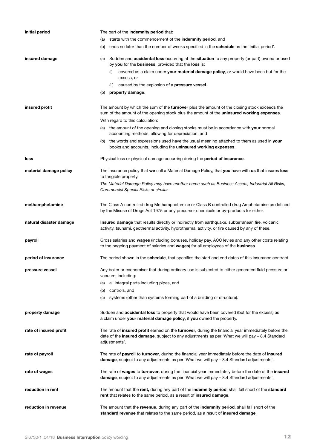| initial period          | The part of the indemnity period that:                                                                                                                                                                                 |
|-------------------------|------------------------------------------------------------------------------------------------------------------------------------------------------------------------------------------------------------------------|
|                         | starts with the commencement of the indemnity period, and<br>(a)                                                                                                                                                       |
|                         | ends no later than the number of weeks specified in the schedule as the 'Initial period'.<br>(b)                                                                                                                       |
| insured damage          | Sudden and <b>accidental loss</b> occurring at the situation to any property (or part) owned or used<br>(a)<br>by you for the business, provided that the loss is:                                                     |
|                         | covered as a claim under your material damage policy, or would have been but for the<br>(i)<br>excess, or                                                                                                              |
|                         | caused by the explosion of a pressure vessel.<br>(ii)                                                                                                                                                                  |
|                         | property damage.<br>(b)                                                                                                                                                                                                |
| insured profit          | The amount by which the sum of the turnover plus the amount of the closing stock exceeds the<br>sum of the amount of the opening stock plus the amount of the uninsured working expenses.                              |
|                         | With regard to this calculation:                                                                                                                                                                                       |
|                         | (a) the amount of the opening and closing stocks must be in accordance with your normal<br>accounting methods, allowing for depreciation, and                                                                          |
|                         | the words and expressions used have the usual meaning attached to them as used in your<br>(b)<br>books and accounts, including the uninsured working expenses.                                                         |
| loss                    | Physical loss or physical damage occurring during the <b>period of insurance</b> .                                                                                                                                     |
| material damage policy  | The insurance policy that we call a Material Damage Policy, that you have with us that insures loss<br>to tangible property.                                                                                           |
|                         | The Material Damage Policy may have another name such as Business Assets, Industrial All Risks,<br>Commercial Special Risks or similar.                                                                                |
| methamphetamine         | The Class A controlled drug Methamphetamine or Class B controlled drug Amphetamine as defined<br>by the Misuse of Drugs Act 1975 or any precursor chemicals or by-products for either.                                 |
| natural disaster damage | Insured damage that results directly or indirectly from earthquake, subterranean fire, volcanic<br>activity, tsunami, geothermal activity, hydrothermal activity, or fire caused by any of these.                      |
| payroll                 | Gross salaries and wages (including bonuses, holiday pay, ACC levies and any other costs relating<br>to the ongoing payment of salaries and wages) for all employees of the business.                                  |
| period of insurance     | The period shown in the <b>schedule</b> , that specifies the start and end dates of this insurance contract.                                                                                                           |
| pressure vessel         | Any boiler or economiser that during ordinary use is subjected to either generated fluid pressure or<br>vacuum, including:                                                                                             |
|                         | all integral parts including pipes, and<br>(a)                                                                                                                                                                         |
|                         | (b)<br>controls, and                                                                                                                                                                                                   |
|                         | systems (other than systems forming part of a building or structure).<br>(C)                                                                                                                                           |
| property damage         | Sudden and <b>accidental loss</b> to property that would have been covered (but for the excess) as<br>a claim under your material damage policy, if you owned the property.                                            |
| rate of insured profit  | The rate of insured profit earned on the turnover, during the financial year immediately before the<br>date of the insured damage, subject to any adjustments as per 'What we will pay - 8.4 Standard<br>adjustments'. |
| rate of payroll         | The rate of payroll to turnover, during the financial year immediately before the date of insured<br>damage, subject to any adjustments as per 'What we will pay $-8.4$ Standard adjustments'.                         |
| rate of wages           | The rate of wages to turnover, during the financial year immediately before the date of the insured<br>damage, subject to any adjustments as per 'What we will pay - 8.4 Standard adjustments'.                        |
| reduction in rent       | The amount that the rent, during any part of the indemnity period, shall fall short of the standard<br>rent that relates to the same period, as a result of insured damage.                                            |
| reduction in revenue    | The amount that the revenue, during any part of the indemnity period, shall fall short of the<br>standard revenue that relates to the same period, as a result of insured damage.                                      |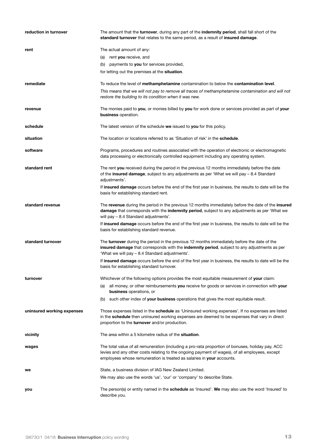| reduction in turnover      | The amount that the turnover, during any part of the indemnity period, shall fall short of the<br>standard turnover that relates to the same period, as a result of insured damage.                                                                                          |
|----------------------------|------------------------------------------------------------------------------------------------------------------------------------------------------------------------------------------------------------------------------------------------------------------------------|
| rent                       | The actual amount of any:                                                                                                                                                                                                                                                    |
|                            | (a) rent you receive, and                                                                                                                                                                                                                                                    |
|                            | payments to you for services provided,<br>(b)                                                                                                                                                                                                                                |
|                            | for letting out the premises at the <b>situation</b> .                                                                                                                                                                                                                       |
| remediate                  | To reduce the level of <b>methamphetamine</b> contamination to below the <b>contamination level</b> .<br>This means that we will not pay to remove all traces of methamphetamine contamination and will not                                                                  |
|                            | restore the building to its condition when it was new.                                                                                                                                                                                                                       |
| revenue                    | The monies paid to you, or monies billed by you for work done or services provided as part of your<br>business operation.                                                                                                                                                    |
| schedule                   | The latest version of the schedule we issued to you for this policy.                                                                                                                                                                                                         |
| situation                  | The location or locations referred to as 'Situation of risk' in the <b>schedule</b> .                                                                                                                                                                                        |
| software                   | Programs, procedures and routines associated with the operation of electronic or electromagnetic<br>data processing or electronically controlled equipment including any operating system.                                                                                   |
| standard rent              | The rent you received during the period in the previous 12 months immediately before the date<br>of the insured damage, subject to any adjustments as per 'What we will pay - 8.4 Standard<br>adjustments'.                                                                  |
|                            | If insured damage occurs before the end of the first year in business, the results to date will be the<br>basis for establishing standard rent.                                                                                                                              |
| standard revenue           | The revenue during the period in the previous 12 months immediately before the date of the insured<br>damage that corresponds with the indemnity period, subject to any adjustments as per 'What we<br>will pay - 8.4 Standard adjustments'.                                 |
|                            | If insured damage occurs before the end of the first year in business, the results to date will be the<br>basis for establishing standard revenue.                                                                                                                           |
| standard turnover          | The turnover during the period in the previous 12 months immediately before the date of the<br>insured damage that corresponds with the indemnity period, subject to any adjustments as per<br>'What we will pay - 8.4 Standard adjustments'.                                |
|                            | If insured damage occurs before the end of the first year in business, the results to date will be the<br>basis for establishing standard turnover.                                                                                                                          |
| turnover                   | Whichever of the following options provides the most equitable measurement of your claim:                                                                                                                                                                                    |
|                            | (a) all money, or other reimbursements you receive for goods or services in connection with your<br>business operations, or                                                                                                                                                  |
|                            | such other index of your business operations that gives the most equitable result.<br>(b)                                                                                                                                                                                    |
| uninsured working expenses | Those expenses listed in the <b>schedule</b> as 'Uninsured working expenses'. If no expenses are listed<br>in the schedule then uninsured working expenses are deemed to be expenses that vary in direct<br>proportion to the turnover and/or production.                    |
| vicinity                   | The area within a 5 kilometre radius of the <b>situation</b> .                                                                                                                                                                                                               |
| wages                      | The total value of all remuneration (including a pro-rata proportion of bonuses, holiday pay, ACC<br>levies and any other costs relating to the ongoing payment of wages), of all employees, except<br>employees whose remuneration is treated as salaries in your accounts. |
| we                         | State, a business division of IAG New Zealand Limited.                                                                                                                                                                                                                       |
|                            | We may also use the words 'us', 'our' or 'company' to describe State.                                                                                                                                                                                                        |
| you                        | The person(s) or entity named in the <b>schedule</b> as 'Insured'. We may also use the word 'Insured' to<br>describe you.                                                                                                                                                    |